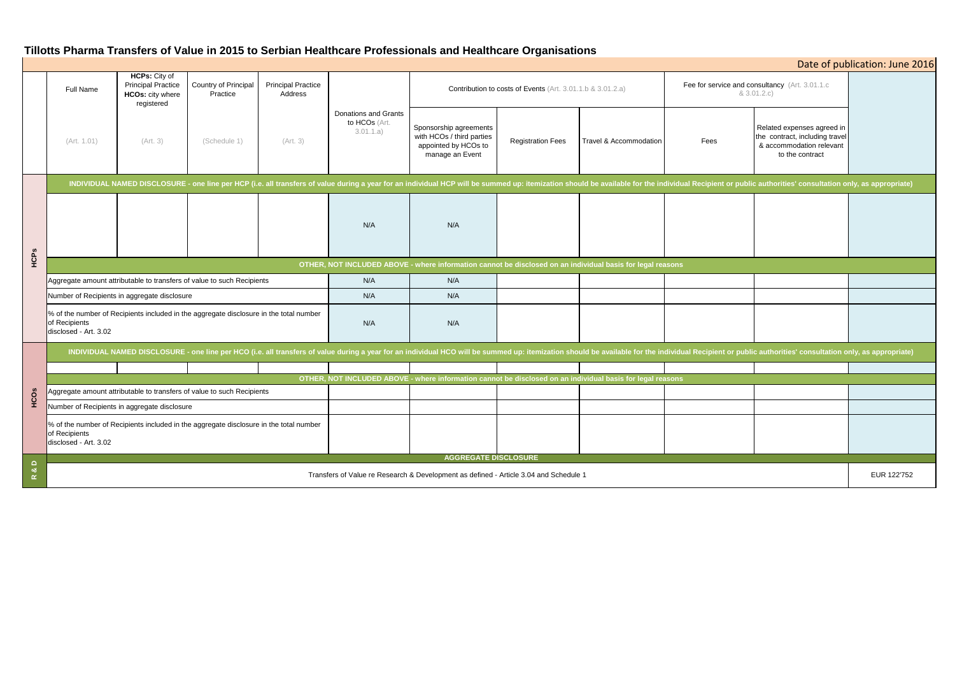# **Tillotts Pharma Transfers of Value in 2015 to Serbian Healthcare Professionals and Healthcare Organisations**

| Date of publication: June 2016 |                                                                                                                                                                                                                                |                                                                                            |                                  |                                      |                                                    |                                                                                                |                          |                        |                                                               |                                                                                                             |             |
|--------------------------------|--------------------------------------------------------------------------------------------------------------------------------------------------------------------------------------------------------------------------------|--------------------------------------------------------------------------------------------|----------------------------------|--------------------------------------|----------------------------------------------------|------------------------------------------------------------------------------------------------|--------------------------|------------------------|---------------------------------------------------------------|-------------------------------------------------------------------------------------------------------------|-------------|
|                                | Full Name                                                                                                                                                                                                                      | <b>HCPs: City of</b><br><b>Principal Practice</b><br><b>HCOs: city where</b><br>registered | Country of Principal<br>Practice | <b>Principal Practice</b><br>Address |                                                    | Contribution to costs of Events (Art. 3.01.1.b & 3.01.2.a)                                     |                          |                        | Fee for service and consultancy (Art. 3.01.1.c<br>& 3.01.2.c) |                                                                                                             |             |
|                                | (Art. 1.01)                                                                                                                                                                                                                    | (Art. 3)                                                                                   | (Schedule 1)                     | (Art. 3)                             | Donations and Grants<br>to HCOs (Art.<br>3.01.1.a) | Sponsorship agreements<br>with HCOs / third parties<br>appointed by HCOs to<br>manage an Event | <b>Registration Fees</b> | Travel & Accommodation | Fees                                                          | Related expenses agreed in<br>the contract, including travel<br>& accommodation relevant<br>to the contract |             |
| HCPs                           | INDIVIDUAL NAMED DISCLOSURE - one line per HCP (i.e. all transfers of value during a year for an individual HCP will be summed up: itemization should be available for the individual Recipient or public authorities' consult |                                                                                            |                                  |                                      |                                                    |                                                                                                |                          |                        |                                                               |                                                                                                             |             |
|                                |                                                                                                                                                                                                                                |                                                                                            |                                  |                                      | N/A                                                | N/A                                                                                            |                          |                        |                                                               |                                                                                                             |             |
|                                | OTHER, NOT INCLUDED ABOVE - where information cannot be disclosed on an individual basis for legal reasons                                                                                                                     |                                                                                            |                                  |                                      |                                                    |                                                                                                |                          |                        |                                                               |                                                                                                             |             |
|                                | Aggregate amount attributable to transfers of value to such Recipients                                                                                                                                                         |                                                                                            |                                  |                                      | N/A                                                | N/A                                                                                            |                          |                        |                                                               |                                                                                                             |             |
|                                | Number of Recipients in aggregate disclosure                                                                                                                                                                                   |                                                                                            |                                  |                                      | N/A                                                | N/A                                                                                            |                          |                        |                                                               |                                                                                                             |             |
|                                | % of the number of Recipients included in the aggregate disclosure in the total number<br>of Recipients<br>disclosed - Art. 3.02                                                                                               |                                                                                            |                                  |                                      | N/A                                                | N/A                                                                                            |                          |                        |                                                               |                                                                                                             |             |
|                                | INDIVIDUAL NAMED DISCLOSURE - one line per HCO (i.e. all transfers of value during a year for an individual HCO will be summed up: itemization should be available for the individual Recipient or public authorities' consult |                                                                                            |                                  |                                      |                                                    |                                                                                                |                          |                        |                                                               |                                                                                                             |             |
| HCOS                           |                                                                                                                                                                                                                                |                                                                                            |                                  |                                      |                                                    |                                                                                                |                          |                        |                                                               |                                                                                                             |             |
|                                | OTHER, NOT INCLUDED ABOVE - where information cannot be disclosed on an individual basis for legal reasons<br>Aggregate amount attributable to transfers of value to such Recipients                                           |                                                                                            |                                  |                                      |                                                    |                                                                                                |                          |                        |                                                               |                                                                                                             |             |
|                                | Number of Recipients in aggregate disclosure                                                                                                                                                                                   |                                                                                            |                                  |                                      |                                                    |                                                                                                |                          |                        |                                                               |                                                                                                             |             |
|                                | % of the number of Recipients included in the aggregate disclosure in the total number<br>of Recipients<br>disclosed - Art. 3.02                                                                                               |                                                                                            |                                  |                                      |                                                    |                                                                                                |                          |                        |                                                               |                                                                                                             |             |
| $\overline{\mathbf{a}}$        | <b>AGGREGATE DISCLOSURE</b>                                                                                                                                                                                                    |                                                                                            |                                  |                                      |                                                    |                                                                                                |                          |                        |                                                               |                                                                                                             |             |
| $\alpha$                       | Transfers of Value re Research & Development as defined - Article 3.04 and Schedule 1                                                                                                                                          |                                                                                            |                                  |                                      |                                                    |                                                                                                |                          |                        |                                                               |                                                                                                             | EUR 122'752 |